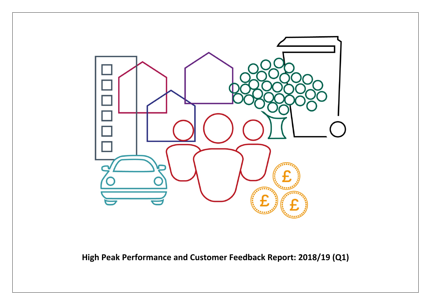

**High Peak Performance and Customer Feedback Report: 2018/19 (Q1)**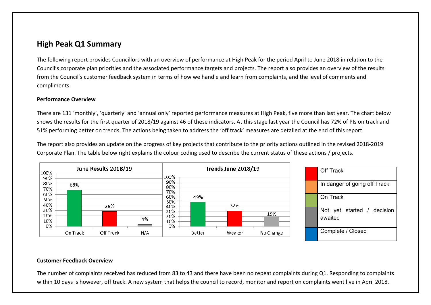## **High Peak Q1 Summary**

The following report provides Councillors with an overview of performance at High Peak for the period April to June 2018 in relation to the Council's corporate plan priorities and the associated performance targets and projects. The report also provides an overview of the results from the Council's customer feedback system in terms of how we handle and learn from complaints, and the level of comments and compliments.

#### **Performance Overview**

There are 131 'monthly', 'quarterly' and 'annual only' reported performance measures at High Peak, five more than last year. The chart below shows the results for the first quarter of 2018/19 against 46 of these indicators. At this stage last year the Council has 72% of PIs on track and 51% performing better on trends. The actions being taken to address the 'off track' measures are detailed at the end of this report.

The report also provides an update on the progress of key projects that contribute to the priority actions outlined in the revised 2018-2019 Corporate Plan. The table below right explains the colour coding used to describe the current status of these actions / projects.



#### **Customer Feedback Overview**

The number of complaints received has reduced from 83 to 43 and there have been no repeat complaints during Q1. Responding to complaints within 10 days is however, off track. A new system that helps the council to record, monitor and report on complaints went live in April 2018.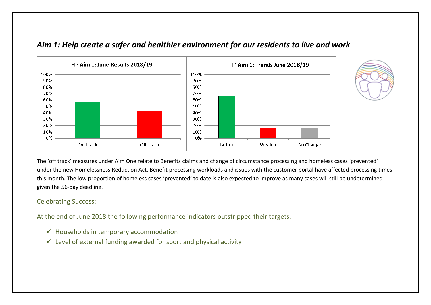

### *Aim 1: Help create a safer and healthier environment for our residents to live and work*

The 'off track' measures under Aim One relate to Benefits claims and change of circumstance processing and homeless cases 'prevented' under the new Homelessness Reduction Act. Benefit processing workloads and issues with the customer portal have affected processing times this month. The low proportion of homeless cases 'prevented' to date is also expected to improve as many cases will still be undetermined given the 56-day deadline.

#### Celebrating Success:

At the end of June 2018 the following performance indicators outstripped their targets:

- $\checkmark$  Households in temporary accommodation
- $\checkmark$  Level of external funding awarded for sport and physical activity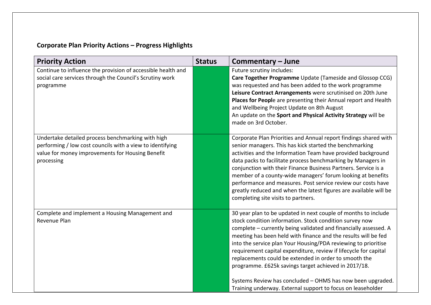# **Corporate Plan Priority Actions – Progress Highlights**

| Future scrutiny includes:<br>Care Together Programme Update (Tameside and Glossop CCG)<br>was requested and has been added to the work programme<br>Leisure Contract Arrangements were scrutinised on 20th June<br>Places for People are presenting their Annual report and Health<br>and Wellbeing Project Update on 8th August<br>An update on the Sport and Physical Activity Strategy will be<br>made on 3rd October.                                                                                                                                                                                                                           |
|-----------------------------------------------------------------------------------------------------------------------------------------------------------------------------------------------------------------------------------------------------------------------------------------------------------------------------------------------------------------------------------------------------------------------------------------------------------------------------------------------------------------------------------------------------------------------------------------------------------------------------------------------------|
| Corporate Plan Priorities and Annual report findings shared with<br>senior managers. This has kick started the benchmarking<br>activities and the Information Team have provided background<br>data packs to facilitate process benchmarking by Managers in<br>conjunction with their Finance Business Partners. Service is a<br>member of a county-wide managers' forum looking at benefits<br>performance and measures. Post service review our costs have<br>greatly reduced and when the latest figures are available will be<br>completing site visits to partners.                                                                            |
| 30 year plan to be updated in next couple of months to include<br>stock condition information. Stock condition survey now<br>complete - currently being validated and financially assessed. A<br>meeting has been held with finance and the results will be fed<br>into the service plan Your Housing/PDA reviewing to prioritise<br>requirement capital expenditure, review if lifecycle for capital<br>replacements could be extended in order to smooth the<br>programme. £625k savings target achieved in 2017/18.<br>Systems Review has concluded - OHMS has now been upgraded.<br>Training underway. External support to focus on leaseholder |
|                                                                                                                                                                                                                                                                                                                                                                                                                                                                                                                                                                                                                                                     |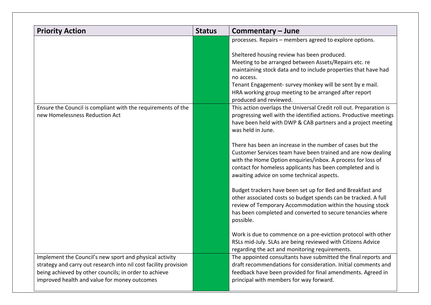| <b>Priority Action</b>                                                                                                                                                                                                               | <b>Status</b> | Commentary – June                                                                                                                                                                                                                                                                                                                   |
|--------------------------------------------------------------------------------------------------------------------------------------------------------------------------------------------------------------------------------------|---------------|-------------------------------------------------------------------------------------------------------------------------------------------------------------------------------------------------------------------------------------------------------------------------------------------------------------------------------------|
|                                                                                                                                                                                                                                      |               | processes. Repairs - members agreed to explore options.                                                                                                                                                                                                                                                                             |
|                                                                                                                                                                                                                                      |               | Sheltered housing review has been produced.<br>Meeting to be arranged between Assets/Repairs etc. re<br>maintaining stock data and to include properties that have had<br>no access.<br>Tenant Engagement- survey monkey will be sent by e mail.<br>HRA working group meeting to be arranged after report<br>produced and reviewed. |
| Ensure the Council is compliant with the requirements of the<br>new Homelessness Reduction Act                                                                                                                                       |               | This action overlaps the Universal Credit roll out. Preparation is<br>progressing well with the identified actions. Productive meetings<br>have been held with DWP & CAB partners and a project meeting<br>was held in June.                                                                                                        |
|                                                                                                                                                                                                                                      |               | There has been an increase in the number of cases but the<br>Customer Services team have been trained and are now dealing<br>with the Home Option enquiries/inbox. A process for loss of<br>contact for homeless applicants has been completed and is<br>awaiting advice on some technical aspects.                                 |
|                                                                                                                                                                                                                                      |               | Budget trackers have been set up for Bed and Breakfast and<br>other associated costs so budget spends can be tracked. A full<br>review of Temporary Accommodation within the housing stock<br>has been completed and converted to secure tenancies where<br>possible.                                                               |
|                                                                                                                                                                                                                                      |               | Work is due to commence on a pre-eviction protocol with other<br>RSLs mid-July. SLAs are being reviewed with Citizens Advice<br>regarding the act and monitoring requirements.                                                                                                                                                      |
| Implement the Council's new sport and physical activity<br>strategy and carry out research into nil cost facility provision<br>being achieved by other councils; in order to achieve<br>improved health and value for money outcomes |               | The appointed consultants have submitted the final reports and<br>draft recommendations for consideration. Initial comments and<br>feedback have been provided for final amendments. Agreed in<br>principal with members for way forward.                                                                                           |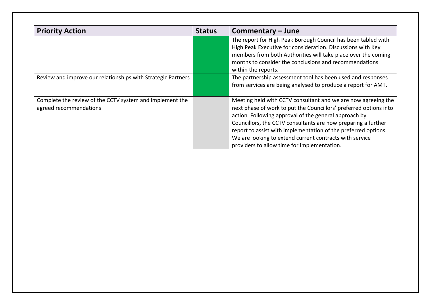| <b>Priority Action</b>                                                             | <b>Status</b> | Commentary – June                                                                                                                                                                                                                                                                                                                                                                                                                        |
|------------------------------------------------------------------------------------|---------------|------------------------------------------------------------------------------------------------------------------------------------------------------------------------------------------------------------------------------------------------------------------------------------------------------------------------------------------------------------------------------------------------------------------------------------------|
|                                                                                    |               | The report for High Peak Borough Council has been tabled with<br>High Peak Executive for consideration. Discussions with Key<br>members from both Authorities will take place over the coming<br>months to consider the conclusions and recommendations<br>within the reports.                                                                                                                                                           |
| Review and improve our relationships with Strategic Partners                       |               | The partnership assessment tool has been used and responses<br>from services are being analysed to produce a report for AMT.                                                                                                                                                                                                                                                                                                             |
| Complete the review of the CCTV system and implement the<br>agreed recommendations |               | Meeting held with CCTV consultant and we are now agreeing the<br>next phase of work to put the Councillors' preferred options into<br>action. Following approval of the general approach by<br>Councillors, the CCTV consultants are now preparing a further<br>report to assist with implementation of the preferred options.<br>We are looking to extend current contracts with service<br>providers to allow time for implementation. |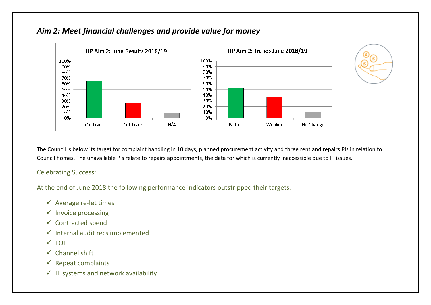





The Council is below its target for complaint handling in 10 days, planned procurement activity and three rent and repairs PIs in relation to Council homes. The unavailable PIs relate to repairs appointments, the data for which is currently inaccessible due to IT issues.

Celebrating Success:

At the end of June 2018 the following performance indicators outstripped their targets:

- $\checkmark$  Average re-let times
- $\checkmark$  Invoice processing
- $\checkmark$  Contracted spend
- $\checkmark$  Internal audit recs implemented
- $\times$  FOI
- $\checkmark$  Channel shift
- $\checkmark$  Repeat complaints
- $\checkmark$  IT systems and network availability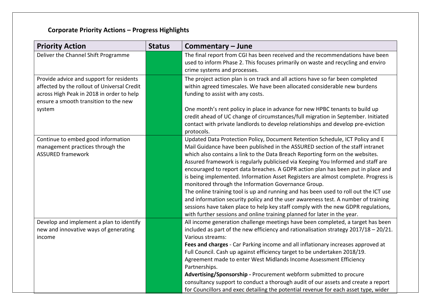# **Corporate Priority Actions – Progress Highlights**

| <b>Priority Action</b>                                                                                                                                                        | <b>Status</b> | Commentary - June                                                                                                                                                                                                                                                                                                                                                                                                                                                                                                                                                                                                                                                                                                                                                                                                                                                                                                   |
|-------------------------------------------------------------------------------------------------------------------------------------------------------------------------------|---------------|---------------------------------------------------------------------------------------------------------------------------------------------------------------------------------------------------------------------------------------------------------------------------------------------------------------------------------------------------------------------------------------------------------------------------------------------------------------------------------------------------------------------------------------------------------------------------------------------------------------------------------------------------------------------------------------------------------------------------------------------------------------------------------------------------------------------------------------------------------------------------------------------------------------------|
| Deliver the Channel Shift Programme                                                                                                                                           |               | The final report from CGI has been received and the recommendations have been<br>used to inform Phase 2. This focuses primarily on waste and recycling and enviro<br>crime systems and processes.                                                                                                                                                                                                                                                                                                                                                                                                                                                                                                                                                                                                                                                                                                                   |
| Provide advice and support for residents<br>affected by the rollout of Universal Credit<br>across High Peak in 2018 in order to help<br>ensure a smooth transition to the new |               | The project action plan is on track and all actions have so far been completed<br>within agreed timescales. We have been allocated considerable new burdens<br>funding to assist with any costs.                                                                                                                                                                                                                                                                                                                                                                                                                                                                                                                                                                                                                                                                                                                    |
| system                                                                                                                                                                        |               | One month's rent policy in place in advance for new HPBC tenants to build up<br>credit ahead of UC change of circumstances/full migration in September. Initiated<br>contact with private landlords to develop relationships and develop pre-eviction<br>protocols.                                                                                                                                                                                                                                                                                                                                                                                                                                                                                                                                                                                                                                                 |
| Continue to embed good information<br>management practices through the<br><b>ASSURED framework</b>                                                                            |               | Updated Data Protection Policy, Document Retention Schedule, ICT Policy and E<br>Mail Guidance have been published in the ASSURED section of the staff intranet<br>which also contains a link to the Data Breach Reporting form on the websites.<br>Assured framework is regularly publicised via Keeping You Informed and staff are<br>encouraged to report data breaches. A GDPR action plan has been put in place and<br>is being implemented. Information Asset Registers are almost complete. Progress is<br>monitored through the Information Governance Group.<br>The online training tool is up and running and has been used to roll out the ICT use<br>and information security policy and the user awareness test. A number of training<br>sessions have taken place to help key staff comply with the new GDPR regulations,<br>with further sessions and online training planned for later in the year. |
| Develop and implement a plan to identify<br>new and innovative ways of generating<br>income                                                                                   |               | All income generation challenge meetings have been completed, a target has been<br>included as part of the new efficiency and rationalisation strategy $2017/18 - 20/21$ .<br>Various streams:<br>Fees and charges - Car Parking income and all inflationary increases approved at<br>Full Council. Cash up against efficiency target to be undertaken 2018/19.<br>Agreement made to enter West Midlands Income Assessment Efficiency<br>Partnerships.<br>Advertising/Sponsorship - Procurement webform submitted to procure<br>consultancy support to conduct a thorough audit of our assets and create a report<br>for Councillors and exec detailing the potential revenue for each asset type, wider                                                                                                                                                                                                            |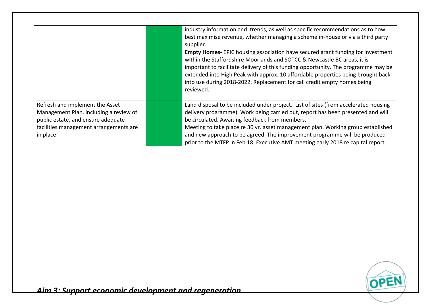|                                                                                                                 | industry information and trends, as well as specific recommendations as to how<br>best maximise revenue, whether managing a scheme in-house or via a third party<br>supplier.<br><b>Empty Homes-</b> EPIC housing association have secured grant funding for investment<br>within the Staffordshire Moorlands and SOTCC & Newcastle BC areas, it is<br>important to facilitate delivery of this funding opportunity. The programme may be<br>extended into High Peak with approx. 10 affordable properties being brought back<br>into use during 2018-2022. Replacement for call credit empty homes being<br>reviewed. |
|-----------------------------------------------------------------------------------------------------------------|------------------------------------------------------------------------------------------------------------------------------------------------------------------------------------------------------------------------------------------------------------------------------------------------------------------------------------------------------------------------------------------------------------------------------------------------------------------------------------------------------------------------------------------------------------------------------------------------------------------------|
| Refresh and implement the Asset<br>Management Plan, including a review of<br>public estate, and ensure adequate | Land disposal to be included under project. List of sites (from accelerated housing<br>delivery programme). Work being carried out, report has been presented and will<br>be circulated. Awaiting feedback from members.                                                                                                                                                                                                                                                                                                                                                                                               |
| facilities management arrangements are<br>in place                                                              | Meeting to take place re 30 yr. asset management plan. Working group established<br>and new approach to be agreed. The improvement programme will be produced<br>prior to the MTFP in Feb 18. Executive AMT meeting early 2018 re capital report.                                                                                                                                                                                                                                                                                                                                                                      |

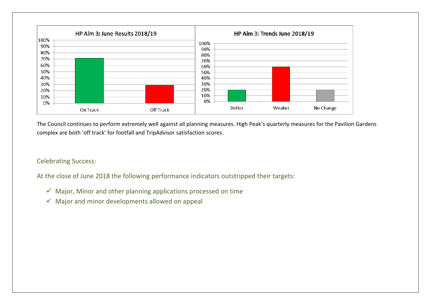

The Council continues to perform extremely well against all planning measures. High Peak's quarterly measures for the Pavilion Gardens complex are both 'off track' for footfall and TripAdvisor satisfaction scores.

#### Celebrating Success:

At the close of June 2018 the following performance indicators outstripped their targets:

- $\checkmark$  Major, Minor and other planning applications processed on time
- $\checkmark$  Major and minor developments allowed on appeal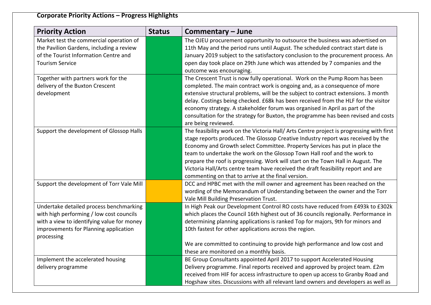# **Corporate Priority Actions – Progress Highlights**

| <b>Priority Action</b>                     | <b>Status</b> | Commentary - June                                                                        |
|--------------------------------------------|---------------|------------------------------------------------------------------------------------------|
| Market test the commercial operation of    |               | The OJEU procurement opportunity to outsource the business was advertised on             |
| the Pavilion Gardens, including a review   |               | 11th May and the period runs until August. The scheduled contract start date is          |
| of the Tourist Information Centre and      |               | January 2019 subject to the satisfactory conclusion to the procurement process. An       |
| <b>Tourism Service</b>                     |               | open day took place on 29th June which was attended by 7 companies and the               |
|                                            |               | outcome was encouraging.                                                                 |
| Together with partners work for the        |               | The Crescent Trust is now fully operational. Work on the Pump Room has been              |
| delivery of the Buxton Crescent            |               | completed. The main contract work is ongoing and, as a consequence of more               |
| development                                |               | extensive structural problems, will be the subject to contract extensions. 3 month       |
|                                            |               | delay. Costings being checked. £68k has been received from the HLF for the visitor       |
|                                            |               | economy strategy. A stakeholder forum was organised in April as part of the              |
|                                            |               | consultation for the strategy for Buxton, the programme has been revised and costs       |
|                                            |               | are being reviewed.                                                                      |
| Support the development of Glossop Halls   |               | The feasibility work on the Victoria Hall/ Arts Centre project is progressing with first |
|                                            |               | stage reports produced. The Glossop Creative Industry report was received by the         |
|                                            |               | Economy and Growth select Committee. Property Services has put in place the              |
|                                            |               | team to undertake the work on the Glossop Town Hall roof and the work to                 |
|                                            |               | prepare the roof is progressing. Work will start on the Town Hall in August. The         |
|                                            |               | Victoria Hall/Arts centre team have received the draft feasibility report and are        |
|                                            |               | commenting on that to arrive at the final version.                                       |
| Support the development of Torr Vale Mill  |               | DCC and HPBC met with the mill owner and agreement has been reached on the               |
|                                            |               | wording of the Memorandum of Understanding between the owner and the Torr                |
|                                            |               | Vale Mill Building Preservation Trust.                                                   |
| Undertake detailed process benchmarking    |               | In High Peak our Development Control RO costs have reduced from £493k to £302k           |
| with high performing / low cost councils   |               | which places the Council 16th highest out of 36 councils regionally. Performance in      |
| with a view to identifying value for money |               | determining planning applications is ranked Top for majors, 9th for minors and           |
| improvements for Planning application      |               | 10th fastest for other applications across the region.                                   |
| processing                                 |               |                                                                                          |
|                                            |               | We are committed to continuing to provide high performance and low cost and              |
|                                            |               | these are monitored on a monthly basis.                                                  |
| Implement the accelerated housing          |               | BE Group Consultants appointed April 2017 to support Accelerated Housing                 |
| delivery programme                         |               | Delivery programme. Final reports received and approved by project team. £2m             |
|                                            |               | received from HIF for access infrastructure to open up access to Granby Road and         |
|                                            |               | Hogshaw sites. Discussions with all relevant land owners and developers as well as       |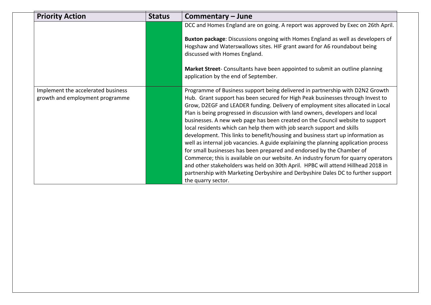| <b>Priority Action</b>                                                | <b>Status</b> | Commentary - June                                                                                                                                                                                                                                                                                                                                                                                                                                                                                                                                                                                                                                                                                                                                                                                                                                                                                                                                                                                                                     |
|-----------------------------------------------------------------------|---------------|---------------------------------------------------------------------------------------------------------------------------------------------------------------------------------------------------------------------------------------------------------------------------------------------------------------------------------------------------------------------------------------------------------------------------------------------------------------------------------------------------------------------------------------------------------------------------------------------------------------------------------------------------------------------------------------------------------------------------------------------------------------------------------------------------------------------------------------------------------------------------------------------------------------------------------------------------------------------------------------------------------------------------------------|
|                                                                       |               | DCC and Homes England are on going. A report was approved by Exec on 26th April.                                                                                                                                                                                                                                                                                                                                                                                                                                                                                                                                                                                                                                                                                                                                                                                                                                                                                                                                                      |
|                                                                       |               | Buxton package: Discussions ongoing with Homes England as well as developers of<br>Hogshaw and Waterswallows sites. HIF grant award for A6 roundabout being<br>discussed with Homes England.                                                                                                                                                                                                                                                                                                                                                                                                                                                                                                                                                                                                                                                                                                                                                                                                                                          |
|                                                                       |               | Market Street- Consultants have been appointed to submit an outline planning<br>application by the end of September.                                                                                                                                                                                                                                                                                                                                                                                                                                                                                                                                                                                                                                                                                                                                                                                                                                                                                                                  |
| Implement the accelerated business<br>growth and employment programme |               | Programme of Business support being delivered in partnership with D2N2 Growth<br>Hub. Grant support has been secured for High Peak businesses through Invest to<br>Grow, D2EGF and LEADER funding. Delivery of employment sites allocated in Local<br>Plan is being progressed in discussion with land owners, developers and local<br>businesses. A new web page has been created on the Council website to support<br>local residents which can help them with job search support and skills<br>development. This links to benefit/housing and business start up information as<br>well as internal job vacancies. A guide explaining the planning application process<br>for small businesses has been prepared and endorsed by the Chamber of<br>Commerce; this is available on our website. An industry forum for quarry operators<br>and other stakeholders was held on 30th April. HPBC will attend Hillhead 2018 in<br>partnership with Marketing Derbyshire and Derbyshire Dales DC to further support<br>the quarry sector. |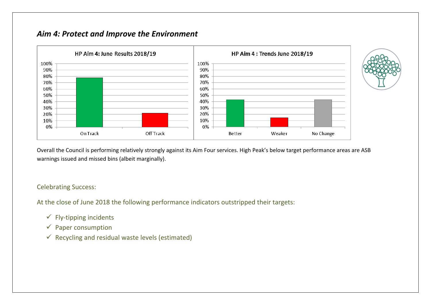## *Aim 4: Protect and Improve the Environment*



Overall the Council is performing relatively strongly against its Aim Four services. High Peak's below target performance areas are ASB warnings issued and missed bins (albeit marginally).

Celebrating Success:

At the close of June 2018 the following performance indicators outstripped their targets:

- $\checkmark$  Fly-tipping incidents
- $\checkmark$  Paper consumption
- $\checkmark$  Recycling and residual waste levels (estimated)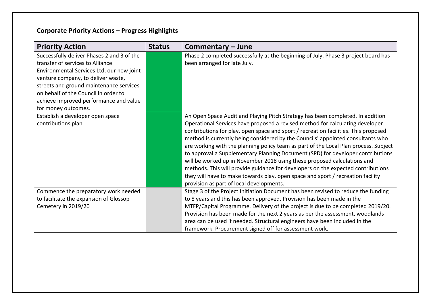# **Corporate Priority Actions – Progress Highlights**

| <b>Priority Action</b>                                                                                                                                                                                                                                                                                                | <b>Status</b> | Commentary - June                                                                                                                                                                                                                                                                                                                                                                                                                                                                                                                                                                                                                                                                                                                                                                                                   |
|-----------------------------------------------------------------------------------------------------------------------------------------------------------------------------------------------------------------------------------------------------------------------------------------------------------------------|---------------|---------------------------------------------------------------------------------------------------------------------------------------------------------------------------------------------------------------------------------------------------------------------------------------------------------------------------------------------------------------------------------------------------------------------------------------------------------------------------------------------------------------------------------------------------------------------------------------------------------------------------------------------------------------------------------------------------------------------------------------------------------------------------------------------------------------------|
| Successfully deliver Phases 2 and 3 of the<br>transfer of services to Alliance<br>Environmental Services Ltd, our new joint<br>venture company, to deliver waste,<br>streets and ground maintenance services<br>on behalf of the Council in order to<br>achieve improved performance and value<br>for money outcomes. |               | Phase 2 completed successfully at the beginning of July. Phase 3 project board has<br>been arranged for late July.                                                                                                                                                                                                                                                                                                                                                                                                                                                                                                                                                                                                                                                                                                  |
| Establish a developer open space<br>contributions plan                                                                                                                                                                                                                                                                |               | An Open Space Audit and Playing Pitch Strategy has been completed. In addition<br>Operational Services have proposed a revised method for calculating developer<br>contributions for play, open space and sport / recreation facilities. This proposed<br>method is currently being considered by the Councils' appointed consultants who<br>are working with the planning policy team as part of the Local Plan process. Subject<br>to approval a Supplementary Planning Document (SPD) for developer contributions<br>will be worked up in November 2018 using these proposed calculations and<br>methods. This will provide guidance for developers on the expected contributions<br>they will have to make towards play, open space and sport / recreation facility<br>provision as part of local developments. |
| Commence the preparatory work needed<br>to facilitate the expansion of Glossop<br>Cemetery in 2019/20                                                                                                                                                                                                                 |               | Stage 3 of the Project Initiation Document has been revised to reduce the funding<br>to 8 years and this has been approved. Provision has been made in the<br>MTFP/Capital Programme. Delivery of the project is due to be completed 2019/20.<br>Provision has been made for the next 2 years as per the assessment, woodlands<br>area can be used if needed. Structural engineers have been included in the<br>framework. Procurement signed off for assessment work.                                                                                                                                                                                                                                                                                                                                              |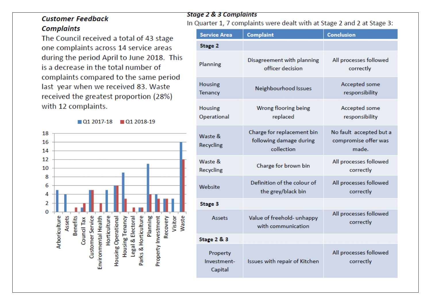## **Customer Feedback Complaints**

The Council received a total of 43 stage one complaints across 14 service areas during the period April to June 2018. This is a decrease in the total number of complaints compared to the same period last year when we received 83. Waste received the greatest proportion (28%) with 12 complaints.

01 2017-18 01 2018-19 18 16 14  $12$ 10 8 6 4 2  $\Omega$ Assets Waste Arboriculture **Benefits** Customer Service Parks & Horticulture Visitor Environmental Health Horticulture Housing Operational Planning Property Investment Housing Tenancy Legal & Electoral Recovery Council Tax

#### **Stage 2 & 3 Complaints**

In Quarter 1, 7 complaints were dealt with at Stage 2 and 2 at Stage 3:

| <b>Service Area</b>                | <b>Complaint</b>                                                    | Conclusion                                               |
|------------------------------------|---------------------------------------------------------------------|----------------------------------------------------------|
| Stage 2                            |                                                                     |                                                          |
| Planning                           | Disagreement with planning<br>officer decision                      | All processes followed<br>correctly                      |
| <b>Housing</b><br><b>Tenancy</b>   | Neighbourhood Issues                                                | Accepted some<br>responsibility                          |
| <b>Housing</b><br>Operational      | Wrong flooring being<br>replaced                                    | Accepted some<br>responsibility                          |
| Waste &<br>Recycling               | Charge for replacement bin<br>following damage during<br>collection | No fault accepted but a<br>compromise offer was<br>made. |
| Waste &<br>Recycling               | Charge for brown bin                                                | All processes followed<br>correctly                      |
| Website                            | Definition of the colour of<br>the grey/black bin                   | All processes followed<br>correctly                      |
| <b>Stage 3</b>                     |                                                                     |                                                          |
| Assets                             | Value of freehold- unhappy<br>with communication                    | All processes followed<br>correctly                      |
| Stage 2 & 3                        |                                                                     |                                                          |
| Property<br>Investment-<br>Capital | Issues with repair of Kitchen                                       | All processes followed<br>correctly                      |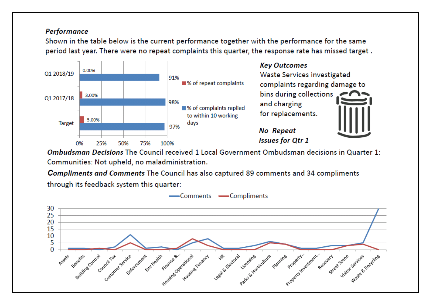### **Performance**

Shown in the table below is the current performance together with the performance for the same period last vear. There were no repeat complaints this quarter, the response rate has missed target.



Ombudsman Decisions The Council received 1 Local Government Ombudsman decisions in Quarter 1: Communities: Not upheld, no maladministration.

**Compliments and Comments The Council has also captured 89 comments and 34 compliments** through its feedback system this quarter:

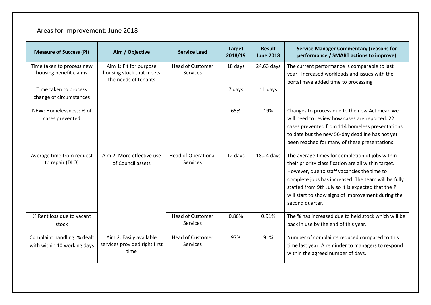# Areas for Improvement: June 2018

| <b>Measure of Success (PI)</b>                             | Aim / Objective                                                            | <b>Service Lead</b>                        | <b>Target</b><br>2018/19 | <b>Result</b><br><b>June 2018</b> | <b>Service Manager Commentary (reasons for</b><br>performance / SMART actions to improve)                                                                                                                                                                                                                                                     |
|------------------------------------------------------------|----------------------------------------------------------------------------|--------------------------------------------|--------------------------|-----------------------------------|-----------------------------------------------------------------------------------------------------------------------------------------------------------------------------------------------------------------------------------------------------------------------------------------------------------------------------------------------|
| Time taken to process new<br>housing benefit claims        | Aim 1: Fit for purpose<br>housing stock that meets<br>the needs of tenants | <b>Head of Customer</b><br>Services        | 18 days                  | 24.63 days                        | The current performance is comparable to last<br>year. Increased workloads and issues with the<br>portal have added time to processing                                                                                                                                                                                                        |
| Time taken to process<br>change of circumstances           |                                                                            |                                            | 7 days                   | 11 days                           |                                                                                                                                                                                                                                                                                                                                               |
| NEW: Homelessness: % of<br>cases prevented                 |                                                                            |                                            | 65%                      | 19%                               | Changes to process due to the new Act mean we<br>will need to review how cases are reported. 22<br>cases prevented from 114 homeless presentations<br>to date but the new 56-day deadline has not yet<br>been reached for many of these presentations.                                                                                        |
| Average time from request<br>to repair (DLO)               | Aim 2: More effective use<br>of Council assets                             | <b>Head of Operational</b><br>Services     | 12 days                  | 18.24 days                        | The average times for completion of jobs within<br>their priority classification are all within target.<br>However, due to staff vacancies the time to<br>complete jobs has increased. The team will be fully<br>staffed from 9th July so it is expected that the PI<br>will start to show signs of improvement during the<br>second quarter. |
| % Rent loss due to vacant<br>stock                         |                                                                            | <b>Head of Customer</b><br><b>Services</b> | 0.86%                    | 0.91%                             | The % has increased due to held stock which will be<br>back in use by the end of this year.                                                                                                                                                                                                                                                   |
| Complaint handling: % dealt<br>with within 10 working days | Aim 2: Easily available<br>services provided right first<br>time           | <b>Head of Customer</b><br><b>Services</b> | 97%                      | 91%                               | Number of complaints reduced compared to this<br>time last year. A reminder to managers to respond<br>within the agreed number of days.                                                                                                                                                                                                       |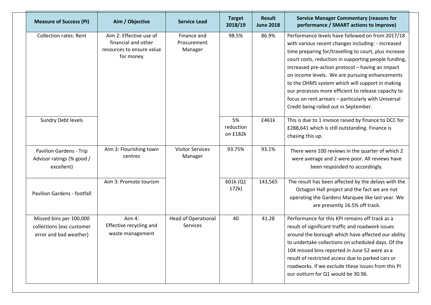| <b>Measure of Success (PI)</b>                                                 | Aim / Objective                                                                          | <b>Service Lead</b>                    | <b>Target</b><br>2018/19    | <b>Result</b><br><b>June 2018</b> | <b>Service Manager Commentary (reasons for</b><br>performance / SMART actions to improve)                                                                                                                                                                                                                                                                                                                                                                                                                                               |
|--------------------------------------------------------------------------------|------------------------------------------------------------------------------------------|----------------------------------------|-----------------------------|-----------------------------------|-----------------------------------------------------------------------------------------------------------------------------------------------------------------------------------------------------------------------------------------------------------------------------------------------------------------------------------------------------------------------------------------------------------------------------------------------------------------------------------------------------------------------------------------|
| <b>Collection rates: Rent</b>                                                  | Aim 2: Effective use of<br>financial and other<br>resources to ensure value<br>for money | Finance and<br>Procurement<br>Manager  | 98.5%                       | 86.9%                             | Performance levels have followed on from 2017/18<br>with various recent changes including: - increased<br>time preparing for/travelling to court, plus increase<br>court costs, reduction in supporting people funding,<br>increased pre-action protocol - having an impact<br>on income levels. We are pursuing enhancements<br>to the OHMS system which will support in making<br>our processes more efficient to release capacity to<br>focus on rent arrears - particularly with Universal<br>Credit being rolled out in September. |
| Sundry Debt levels                                                             |                                                                                          |                                        | 5%<br>reduction<br>on £182k | £461k                             | This is due to 1 invoice raised by finance to DCC for<br>£288,641 which is still outstanding. Finance is<br>chasing this up.                                                                                                                                                                                                                                                                                                                                                                                                            |
| Pavilion Gardens - Trip<br>Advisor ratings (% good /<br>excellent)             | Aim 3: Flourishing town<br>centres                                                       | <b>Visitor Services</b><br>Manager     | 93.75%                      | 93.1%                             | There were 100 reviews in the quarter of which 2<br>were average and 2 were poor. All reviews have<br>been responded to accordingly.                                                                                                                                                                                                                                                                                                                                                                                                    |
| <b>Pavilion Gardens - footfall</b>                                             | Aim 3: Promote tourism                                                                   |                                        | 601k (Q1<br>172k)           | 143,565                           | The result has been affected by the delays with the<br>Octagon Hall project and the fact we are not<br>operating the Gardens Marquee like last year. We<br>are presently 16.5% off track.                                                                                                                                                                                                                                                                                                                                               |
| Missed bins per 100,000<br>collections (exc customer<br>error and bad weather) | Aim 4:<br>Effective recycling and<br>waste management                                    | <b>Head of Operational</b><br>Services | 40                          | 41.28                             | Performance for this KPI remains off track as a<br>result of significant traffic and roadwork issues<br>around the borough which have affected our ability<br>to undertake collections on scheduled days. Of the<br>104 missed bins reported in June 52 were as a<br>result of restricted access due to parked cars or<br>roadworks. If we exclude these issues from this PI<br>our outturn for Q1 would be 30.96.                                                                                                                      |